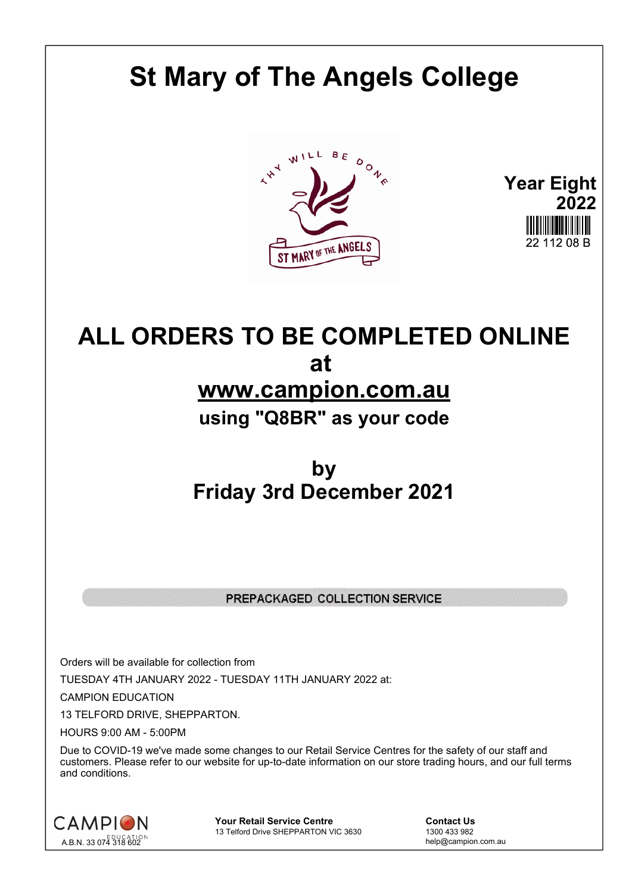## **St Mary of The Angels College**





## **ALL ORDERS TO BE COMPLETED ONLINE at www.campion.com.au using "Q8BR" as your code**

## **by Friday 3rd December 2021**

## PREPACKAGED COLLECTION SERVICE

Orders will be available for collection from TUESDAY 4TH JANUARY 2022 - TUESDAY 11TH JANUARY 2022 at:

CAMPION EDUCATION

13 TELFORD DRIVE, SHEPPARTON.

HOURS 9:00 AM - 5:00PM

Due to COVID-19 we've made some changes to our Retail Service Centres for the safety of our staff and customers. Please refer to our website for up-to-date information on our store trading hours, and our full terms and conditions.



**Your Retail Service Centre Contact Us**<br>
13 Telford Drive SHEPPARTON VIC 3630
<br>
1300 433 982 13 Telford Drive SHEPPARTON VIC 3630

help@campion.com.au